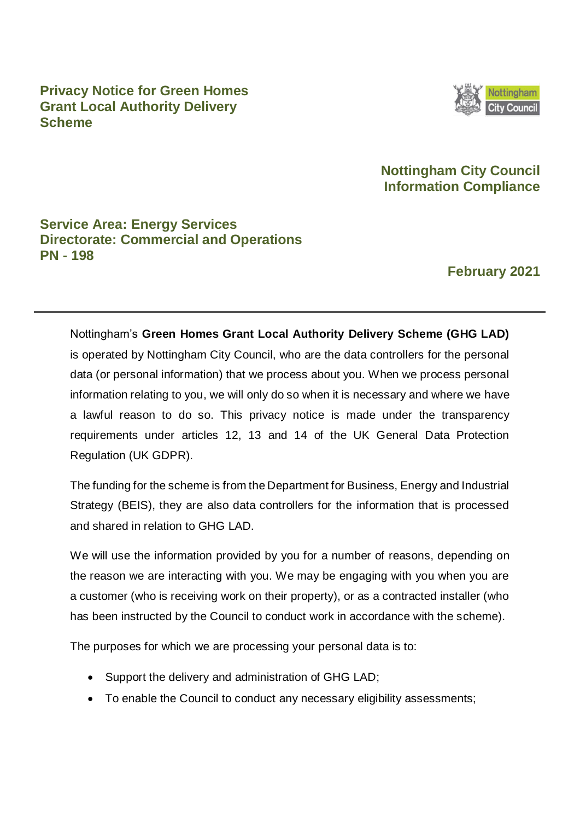**Privacy Notice for Green Homes Grant Local Authority Delivery Scheme**



# **Nottingham City Council Information Compliance**

# **Service Area: Energy Services Directorate: Commercial and Operations PN - 198**

# **February 2021**

Nottingham's **Green Homes Grant Local Authority Delivery Scheme (GHG LAD)**  is operated by Nottingham City Council, who are the data controllers for the personal data (or personal information) that we process about you. When we process personal information relating to you, we will only do so when it is necessary and where we have a lawful reason to do so. This privacy notice is made under the transparency requirements under articles 12, 13 and 14 of the UK General Data Protection Regulation (UK GDPR).

The funding for the scheme is from the Department for Business, Energy and Industrial Strategy (BEIS), they are also data controllers for the information that is processed and shared in relation to GHG LAD.

We will use the information provided by you for a number of reasons, depending on the reason we are interacting with you. We may be engaging with you when you are a customer (who is receiving work on their property), or as a contracted installer (who has been instructed by the Council to conduct work in accordance with the scheme).

The purposes for which we are processing your personal data is to:

- Support the delivery and administration of GHG LAD;
- To enable the Council to conduct any necessary eligibility assessments;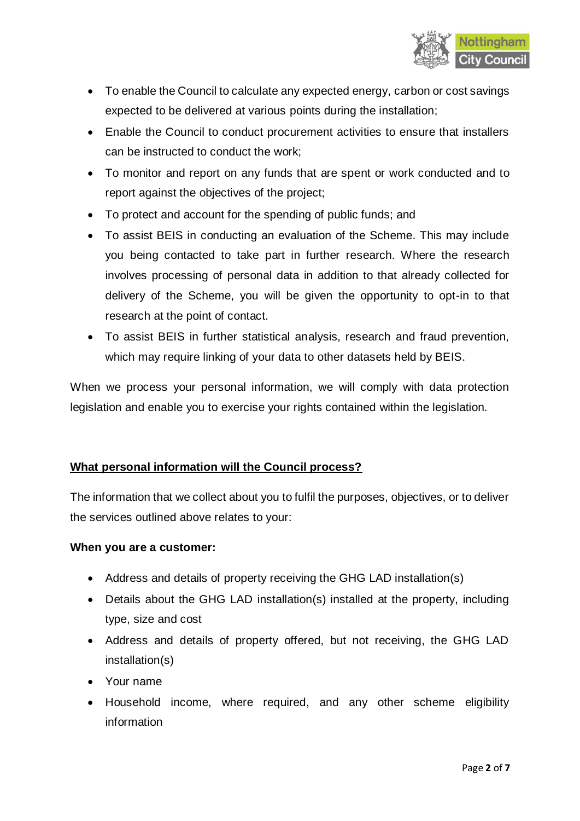

- To enable the Council to calculate any expected energy, carbon or cost savings expected to be delivered at various points during the installation;
- Enable the Council to conduct procurement activities to ensure that installers can be instructed to conduct the work;
- To monitor and report on any funds that are spent or work conducted and to report against the objectives of the project;
- To protect and account for the spending of public funds; and
- To assist BEIS in conducting an evaluation of the Scheme. This may include you being contacted to take part in further research. Where the research involves processing of personal data in addition to that already collected for delivery of the Scheme, you will be given the opportunity to opt-in to that research at the point of contact.
- To assist BEIS in further statistical analysis, research and fraud prevention, which may require linking of your data to other datasets held by BEIS.

When we process your personal information, we will comply with data protection legislation and enable you to exercise your rights contained within the legislation.

# **What personal information will the Council process?**

The information that we collect about you to fulfil the purposes, objectives, or to deliver the services outlined above relates to your:

### **When you are a customer:**

- Address and details of property receiving the GHG LAD installation(s)
- Details about the GHG LAD installation(s) installed at the property, including type, size and cost
- Address and details of property offered, but not receiving, the GHG LAD installation(s)
- Your name
- Household income, where required, and any other scheme eligibility information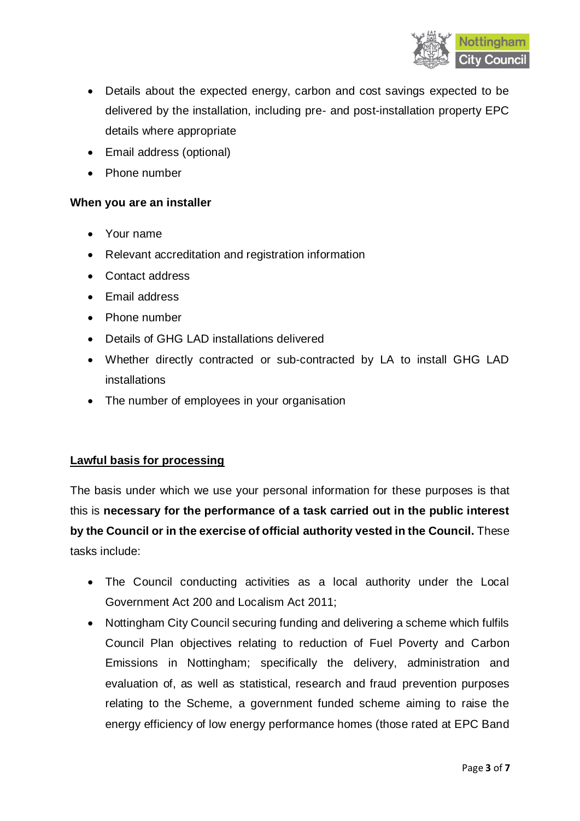

- Details about the expected energy, carbon and cost savings expected to be delivered by the installation, including pre- and post-installation property EPC details where appropriate
- Email address (optional)
- Phone number

### **When you are an installer**

- Your name
- Relevant accreditation and registration information
- Contact address
- Email address
- Phone number
- Details of GHG LAD installations delivered
- Whether directly contracted or sub-contracted by LA to install GHG LAD installations
- The number of employees in your organisation

#### **Lawful basis for processing**

The basis under which we use your personal information for these purposes is that this is **necessary for the performance of a task carried out in the public interest by the Council or in the exercise of official authority vested in the Council.** These tasks include:

- The Council conducting activities as a local authority under the Local Government Act 200 and Localism Act 2011;
- Nottingham City Council securing funding and delivering a scheme which fulfils Council Plan objectives relating to reduction of Fuel Poverty and Carbon Emissions in Nottingham; specifically the delivery, administration and evaluation of, as well as statistical, research and fraud prevention purposes relating to the Scheme, a government funded scheme aiming to raise the energy efficiency of low energy performance homes (those rated at EPC Band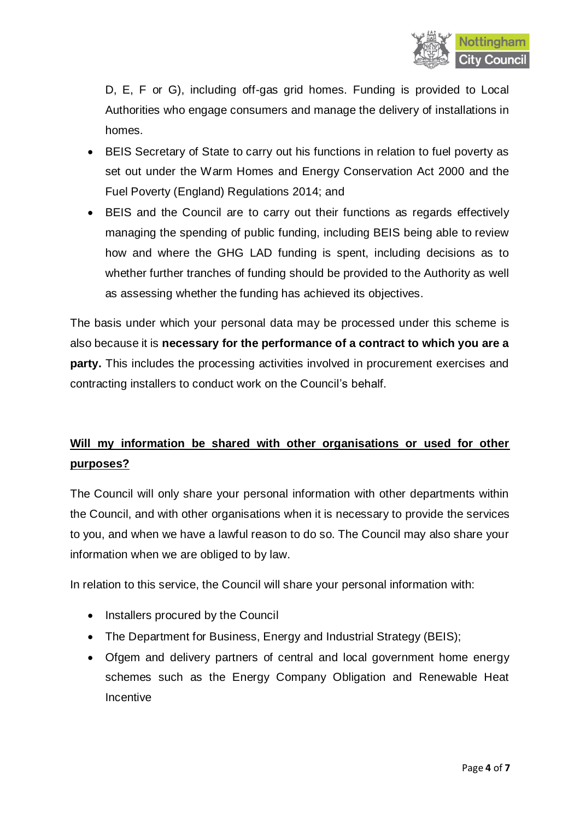

D, E, F or G), including off-gas grid homes. Funding is provided to Local Authorities who engage consumers and manage the delivery of installations in homes.

- BEIS Secretary of State to carry out his functions in relation to fuel poverty as set out under the Warm Homes and Energy Conservation Act 2000 and the Fuel Poverty (England) Regulations 2014; and
- BEIS and the Council are to carry out their functions as regards effectively managing the spending of public funding, including BEIS being able to review how and where the GHG LAD funding is spent, including decisions as to whether further tranches of funding should be provided to the Authority as well as assessing whether the funding has achieved its objectives.

The basis under which your personal data may be processed under this scheme is also because it is **necessary for the performance of a contract to which you are a party.** This includes the processing activities involved in procurement exercises and contracting installers to conduct work on the Council's behalf.

# **Will my information be shared with other organisations or used for other purposes?**

The Council will only share your personal information with other departments within the Council, and with other organisations when it is necessary to provide the services to you, and when we have a lawful reason to do so. The Council may also share your information when we are obliged to by law.

In relation to this service, the Council will share your personal information with:

- Installers procured by the Council
- The Department for Business, Energy and Industrial Strategy (BEIS);
- Ofgem and delivery partners of central and local government home energy schemes such as the Energy Company Obligation and Renewable Heat **Incentive**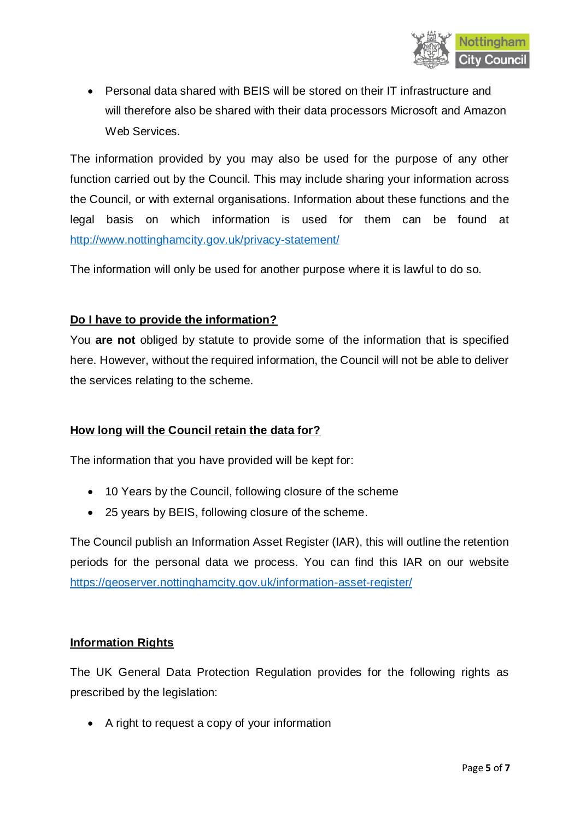

 Personal data shared with BEIS will be stored on their IT infrastructure and will therefore also be shared with their data processors Microsoft and Amazon Web Services.

The information provided by you may also be used for the purpose of any other function carried out by the Council. This may include sharing your information across the Council, or with external organisations. Information about these functions and the legal basis on which information is used for them can be found at <http://www.nottinghamcity.gov.uk/privacy-statement/>

The information will only be used for another purpose where it is lawful to do so.

## **Do I have to provide the information?**

You **are not** obliged by statute to provide some of the information that is specified here. However, without the required information, the Council will not be able to deliver the services relating to the scheme.

# **How long will the Council retain the data for?**

The information that you have provided will be kept for:

- 10 Years by the Council, following closure of the scheme
- 25 years by BEIS, following closure of the scheme.

The Council publish an Information Asset Register (IAR), this will outline the retention periods for the personal data we process. You can find this IAR on our website <https://geoserver.nottinghamcity.gov.uk/information-asset-register/>

### **Information Rights**

The UK General Data Protection Regulation provides for the following rights as prescribed by the legislation:

• A right to request a copy of your information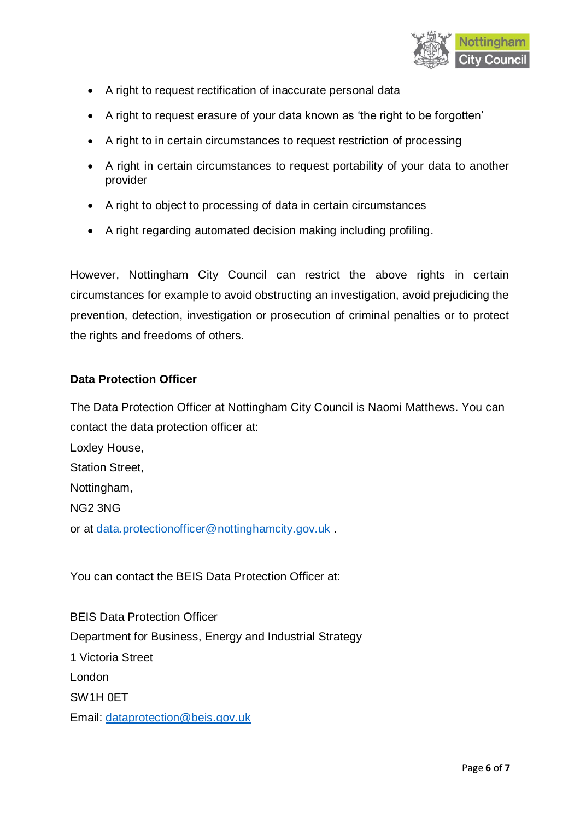

- A right to request rectification of inaccurate personal data
- A right to request erasure of your data known as 'the right to be forgotten'
- A right to in certain circumstances to request restriction of processing
- A right in certain circumstances to request portability of your data to another provider
- A right to object to processing of data in certain circumstances
- A right regarding automated decision making including profiling.

However, Nottingham City Council can restrict the above rights in certain circumstances for example to avoid obstructing an investigation, avoid prejudicing the prevention, detection, investigation or prosecution of criminal penalties or to protect the rights and freedoms of others.

## **Data Protection Officer**

The Data Protection Officer at Nottingham City Council is Naomi Matthews. You can contact the data protection officer at:

Loxley House, Station Street, Nottingham, NG2 3NG or at [data.protectionofficer@nottinghamcity.gov.uk](mailto:data.protectionofficer@nottinghamcity.gov.uk).

You can contact the BEIS Data Protection Officer at:

BEIS Data Protection Officer Department for Business, Energy and Industrial Strategy 1 Victoria Street London SW1H 0ET Email: [dataprotection@beis.gov.uk](mailto:dataprotection@beis.gov.uk)